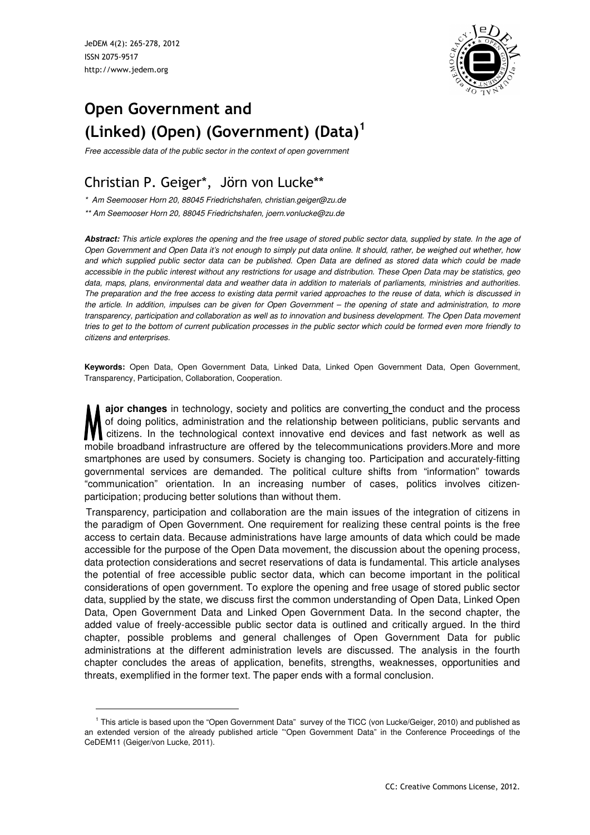JeDEM 4(2): 265-278, 2012 ISSN 2075-9517 http://www.jedem.org

l



# **Open Government and (Linked) (Open) (Government) (Data)<sup>1</sup>**

Free accessible data of the public sector in the context of open government

## Christian P. Geiger\*, Jörn von Lucke\*\*

\* Am Seemooser Horn 20, 88045 Friedrichshafen, christian.geiger@zu.de

\*\* Am Seemooser Horn 20, 88045 Friedrichshafen, joern.vonlucke@zu.de

**Abstract:** This article explores the opening and the free usage of stored public sector data, supplied by state. In the age of Open Government and Open Data it's not enough to simply put data online. It should, rather, be weighed out whether, how and which supplied public sector data can be published. Open Data are defined as stored data which could be made accessible in the public interest without any restrictions for usage and distribution. These Open Data may be statistics, geo data, maps, plans, environmental data and weather data in addition to materials of parliaments, ministries and authorities. The preparation and the free access to existing data permit varied approaches to the reuse of data, which is discussed in the article. In addition, impulses can be given for Open Government – the opening of state and administration, to more transparency, participation and collaboration as well as to innovation and business development. The Open Data movement tries to get to the bottom of current publication processes in the public sector which could be formed even more friendly to citizens and enterprises.

**Keywords:** Open Data, Open Government Data, Linked Data, Linked Open Government Data, Open Government, Transparency, Participation, Collaboration, Cooperation.

**ajor changes** in technology, society and politics are converting the conduct and the process of doing politics, administration and the relationship between politicians, public servants and citizens. In the technological context innovative end devices and fast network as well as mobile broadband infrastructure are offered by the telecommunications providers.More and more smartphones are used by consumers. Society is changing too. Participation and accurately-fitting governmental services are demanded. The political culture shifts from "information" towards "communication" orientation. In an increasing number of cases, politics involves citizenparticipation; producing better solutions than without them.

Transparency, participation and collaboration are the main issues of the integration of citizens in the paradigm of Open Government. One requirement for realizing these central points is the free access to certain data. Because administrations have large amounts of data which could be made accessible for the purpose of the Open Data movement, the discussion about the opening process, data protection considerations and secret reservations of data is fundamental. This article analyses the potential of free accessible public sector data, which can become important in the political considerations of open government. To explore the opening and free usage of stored public sector data, supplied by the state, we discuss first the common understanding of Open Data, Linked Open Data, Open Government Data and Linked Open Government Data. In the second chapter, the added value of freely-accessible public sector data is outlined and critically argued. In the third chapter, possible problems and general challenges of Open Government Data for public administrations at the different administration levels are discussed. The analysis in the fourth chapter concludes the areas of application, benefits, strengths, weaknesses, opportunities and threats, exemplified in the former text. The paper ends with a formal conclusion.

<sup>&</sup>lt;sup>1</sup> This article is based upon the "Open Government Data" survey of the TICC (von Lucke/Geiger, 2010) and published as an extended version of the already published article "'Open Government Data" in the Conference Proceedings of the CeDEM11 (Geiger/von Lucke, 2011).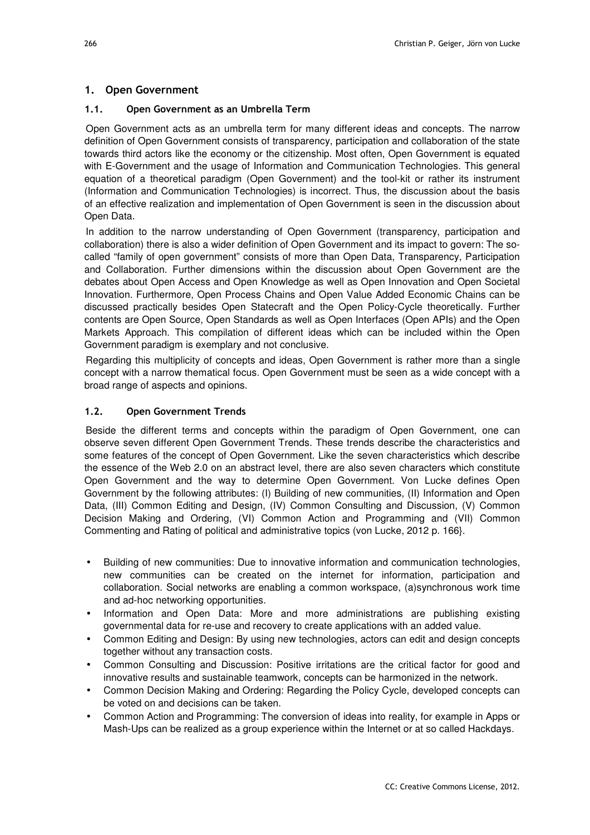#### **1. Open Government**

#### **1.1. Open Government as an Umbrella Term**

Open Government acts as an umbrella term for many different ideas and concepts. The narrow definition of Open Government consists of transparency, participation and collaboration of the state towards third actors like the economy or the citizenship. Most often, Open Government is equated with E-Government and the usage of Information and Communication Technologies. This general equation of a theoretical paradigm (Open Government) and the tool-kit or rather its instrument (Information and Communication Technologies) is incorrect. Thus, the discussion about the basis of an effective realization and implementation of Open Government is seen in the discussion about Open Data.

In addition to the narrow understanding of Open Government (transparency, participation and collaboration) there is also a wider definition of Open Government and its impact to govern: The socalled "family of open government" consists of more than Open Data, Transparency, Participation and Collaboration. Further dimensions within the discussion about Open Government are the debates about Open Access and Open Knowledge as well as Open Innovation and Open Societal Innovation. Furthermore, Open Process Chains and Open Value Added Economic Chains can be discussed practically besides Open Statecraft and the Open Policy-Cycle theoretically. Further contents are Open Source, Open Standards as well as Open Interfaces (Open APIs) and the Open Markets Approach. This compilation of different ideas which can be included within the Open Government paradigm is exemplary and not conclusive.

Regarding this multiplicity of concepts and ideas, Open Government is rather more than a single concept with a narrow thematical focus. Open Government must be seen as a wide concept with a broad range of aspects and opinions.

#### **1.2. Open Government Trends**

Beside the different terms and concepts within the paradigm of Open Government, one can observe seven different Open Government Trends. These trends describe the characteristics and some features of the concept of Open Government. Like the seven characteristics which describe the essence of the Web 2.0 on an abstract level, there are also seven characters which constitute Open Government and the way to determine Open Government. Von Lucke defines Open Government by the following attributes: (I) Building of new communities, (II) Information and Open Data, (III) Common Editing and Design, (IV) Common Consulting and Discussion, (V) Common Decision Making and Ordering, (VI) Common Action and Programming and (VII) Common Commenting and Rating of political and administrative topics (von Lucke, 2012 p. 166}.

- Building of new communities: Due to innovative information and communication technologies, new communities can be created on the internet for information, participation and collaboration. Social networks are enabling a common workspace, (a)synchronous work time and ad-hoc networking opportunities.
- Information and Open Data: More and more administrations are publishing existing governmental data for re-use and recovery to create applications with an added value.
- Common Editing and Design: By using new technologies, actors can edit and design concepts together without any transaction costs.
- Common Consulting and Discussion: Positive irritations are the critical factor for good and innovative results and sustainable teamwork, concepts can be harmonized in the network.
- Common Decision Making and Ordering: Regarding the Policy Cycle, developed concepts can be voted on and decisions can be taken.
- Common Action and Programming: The conversion of ideas into reality, for example in Apps or Mash-Ups can be realized as a group experience within the Internet or at so called Hackdays.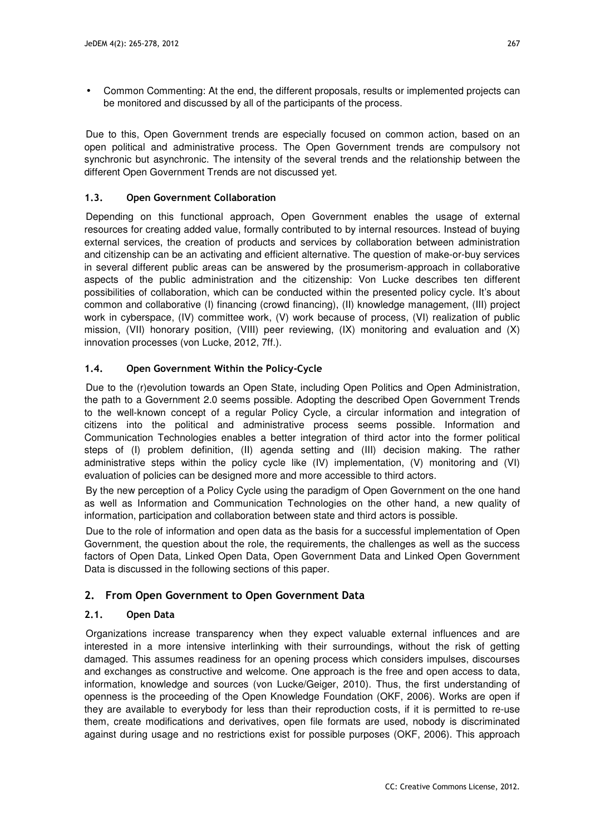• Common Commenting: At the end, the different proposals, results or implemented projects can be monitored and discussed by all of the participants of the process.

Due to this, Open Government trends are especially focused on common action, based on an open political and administrative process. The Open Government trends are compulsory not synchronic but asynchronic. The intensity of the several trends and the relationship between the different Open Government Trends are not discussed yet.

#### **1.3. Open Government Collaboration**

Depending on this functional approach, Open Government enables the usage of external resources for creating added value, formally contributed to by internal resources. Instead of buying external services, the creation of products and services by collaboration between administration and citizenship can be an activating and efficient alternative. The question of make-or-buy services in several different public areas can be answered by the prosumerism-approach in collaborative aspects of the public administration and the citizenship: Von Lucke describes ten different possibilities of collaboration, which can be conducted within the presented policy cycle. It's about common and collaborative (I) financing (crowd financing), (II) knowledge management, (III) project work in cyberspace, (IV) committee work, (V) work because of process, (VI) realization of public mission, (VII) honorary position, (VIII) peer reviewing, (IX) monitoring and evaluation and (X) innovation processes (von Lucke, 2012, 7ff.).

#### **1.4. Open Government Within the Policy-Cycle**

Due to the (r)evolution towards an Open State, including Open Politics and Open Administration, the path to a Government 2.0 seems possible. Adopting the described Open Government Trends to the well-known concept of a regular Policy Cycle, a circular information and integration of citizens into the political and administrative process seems possible. Information and Communication Technologies enables a better integration of third actor into the former political steps of (I) problem definition, (II) agenda setting and (III) decision making. The rather administrative steps within the policy cycle like (IV) implementation, (V) monitoring and (VI) evaluation of policies can be designed more and more accessible to third actors.

By the new perception of a Policy Cycle using the paradigm of Open Government on the one hand as well as Information and Communication Technologies on the other hand, a new quality of information, participation and collaboration between state and third actors is possible.

Due to the role of information and open data as the basis for a successful implementation of Open Government, the question about the role, the requirements, the challenges as well as the success factors of Open Data, Linked Open Data, Open Government Data and Linked Open Government Data is discussed in the following sections of this paper.

## **2. From Open Government to Open Government Data**

#### **2.1. Open Data**

Organizations increase transparency when they expect valuable external influences and are interested in a more intensive interlinking with their surroundings, without the risk of getting damaged. This assumes readiness for an opening process which considers impulses, discourses and exchanges as constructive and welcome. One approach is the free and open access to data, information, knowledge and sources (von Lucke/Geiger, 2010). Thus, the first understanding of openness is the proceeding of the Open Knowledge Foundation (OKF, 2006). Works are open if they are available to everybody for less than their reproduction costs, if it is permitted to re-use them, create modifications and derivatives, open file formats are used, nobody is discriminated against during usage and no restrictions exist for possible purposes (OKF, 2006). This approach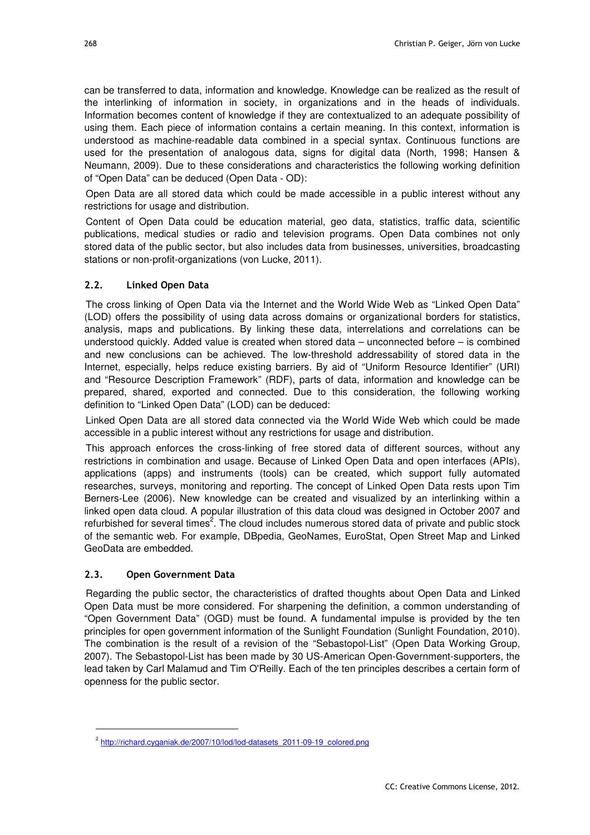can be transferred to data, information and knowledge. Knowledge can be realized as the result of the interlinking of information in society, in organizations and in the heads of individuals. Information becomes content of knowledge if they are contextualized to an adequate possibility of using them. Each piece of information contains a certain meaning. In this context, information is understood as machine-readable data combined in a special syntax. Continuous functions are used for the presentation of analogous data, signs for digital data (North, 1998; Hansen & Neumann, 2009). Due to these considerations and characteristics the following working definition of "Open Data" can be deduced (Open Data ‐ OD):

Open Data are all stored data which could be made accessible in a public interest without any restrictions for usage and distribution.

Content of Open Data could be education material, geo data, statistics, traffic data, scientific publications, medical studies or radio and television programs. Open Data combines not only stored data of the public sector, but also includes data from businesses, universities, broadcasting stations or non-profit-organizations (von Lucke, 2011).

#### **2.2. Linked Open Data**

The cross linking of Open Data via the Internet and the World Wide Web as "Linked Open Data" (LOD) offers the possibility of using data across domains or organizational borders for statistics, analysis, maps and publications. By linking these data, interrelations and correlations can be understood quickly. Added value is created when stored data – unconnected before – is combined and new conclusions can be achieved. The low-threshold addressability of stored data in the Internet, especially, helps reduce existing barriers. By aid of "Uniform Resource Identifier" (URI) and "Resource Description Framework" (RDF), parts of data, information and knowledge can be prepared, shared, exported and connected. Due to this consideration, the following working definition to "Linked Open Data" (LOD) can be deduced:

Linked Open Data are all stored data connected via the World Wide Web which could be made accessible in a public interest without any restrictions for usage and distribution.

This approach enforces the cross-linking of free stored data of different sources, without any restrictions in combination and usage. Because of Linked Open Data and open interfaces (APIs), applications (apps) and instruments (tools) can be created, which support fully automated researches, surveys, monitoring and reporting. The concept of Linked Open Data rests upon Tim Berners-Lee (2006). New knowledge can be created and visualized by an interlinking within a linked open data cloud. A popular illustration of this data cloud was designed in October 2007 and refurbished for several times<sup>2</sup>. The cloud includes numerous stored data of private and public stock of the semantic web. For example, DBpedia, GeoNames, EuroStat, Open Street Map and Linked GeoData are embedded.

#### **2.3. Open Government Data**

l

Regarding the public sector, the characteristics of drafted thoughts about Open Data and Linked Open Data must be more considered. For sharpening the definition, a common understanding of "Open Government Data" (OGD) must be found. A fundamental impulse is provided by the ten principles for open government information of the Sunlight Foundation (Sunlight Foundation, 2010). The combination is the result of a revision of the "Sebastopol-List" (Open Data Working Group, 2007). The Sebastopol-List has been made by 30 US-American Open-Government-supporters, the lead taken by Carl Malamud and Tim O'Reilly. Each of the ten principles describes a certain form of openness for the public sector.

<sup>&</sup>lt;sup>2</sup> http://richard.cyganiak.de/2007/10/lod/lod-datasets\_2011-09-19\_colored.png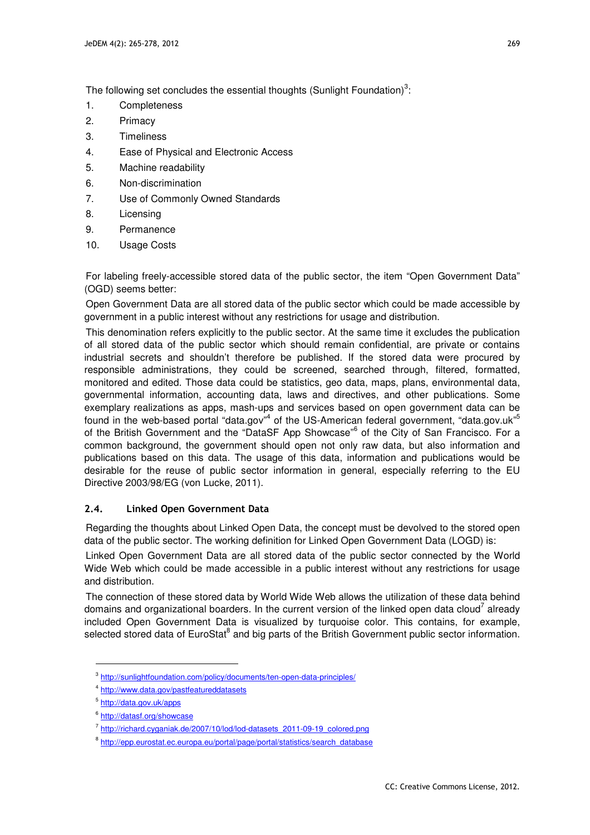The following set concludes the essential thoughts (Sunlight Foundation)<sup>3</sup>:

- 1. Completeness
- 2. Primacy
- 3. Timeliness
- 4. Ease of Physical and Electronic Access
- 5. Machine readability
- 6. Non-discrimination
- 7. Use of Commonly Owned Standards
- 8. Licensing
- 9. Permanence
- 10. Usage Costs

For labeling freely-accessible stored data of the public sector, the item "Open Government Data" (OGD) seems better:

Open Government Data are all stored data of the public sector which could be made accessible by government in a public interest without any restrictions for usage and distribution.

This denomination refers explicitly to the public sector. At the same time it excludes the publication of all stored data of the public sector which should remain confidential, are private or contains industrial secrets and shouldn't therefore be published. If the stored data were procured by responsible administrations, they could be screened, searched through, filtered, formatted, monitored and edited. Those data could be statistics, geo data, maps, plans, environmental data, governmental information, accounting data, laws and directives, and other publications. Some exemplary realizations as apps, mash-ups and services based on open government data can be found in the web-based portal "data.gov"<sup>4</sup> of the US-American federal government, "data.gov.uk"<sup>5</sup> of the British Government and the "DataSF App Showcase"<sup>6</sup> of the City of San Francisco. For a common background, the government should open not only raw data, but also information and publications based on this data. The usage of this data, information and publications would be desirable for the reuse of public sector information in general, especially referring to the EU Directive 2003/98/EG (von Lucke, 2011).

#### **2.4. Linked Open Government Data**

Regarding the thoughts about Linked Open Data, the concept must be devolved to the stored open data of the public sector. The working definition for Linked Open Government Data (LOGD) is:

Linked Open Government Data are all stored data of the public sector connected by the World Wide Web which could be made accessible in a public interest without any restrictions for usage and distribution.

The connection of these stored data by World Wide Web allows the utilization of these data behind domains and organizational boarders. In the current version of the linked open data cloud<sup>7</sup> already included Open Government Data is visualized by turquoise color. This contains, for example, selected stored data of EuroStat<sup>8</sup> and big parts of the British Government public sector information.

l

<sup>&</sup>lt;sup>3</sup> http://sunlightfoundation.com/policy/documents/ten-open-data-principles/

<sup>4</sup> http://www.data.gov/pastfeatureddatasets

<sup>&</sup>lt;sup>5</sup> http://data.gov.uk/apps

<sup>&</sup>lt;sup>6</sup> http://datasf.org/showcase

<sup>&</sup>lt;sup>7</sup> http://richard.cyganiak.de/2007/10/lod/lod-datasets\_2011-09-19\_colored.png

<sup>&</sup>lt;sup>8</sup> http://epp.eurostat.ec.europa.eu/portal/page/portal/statistics/search\_database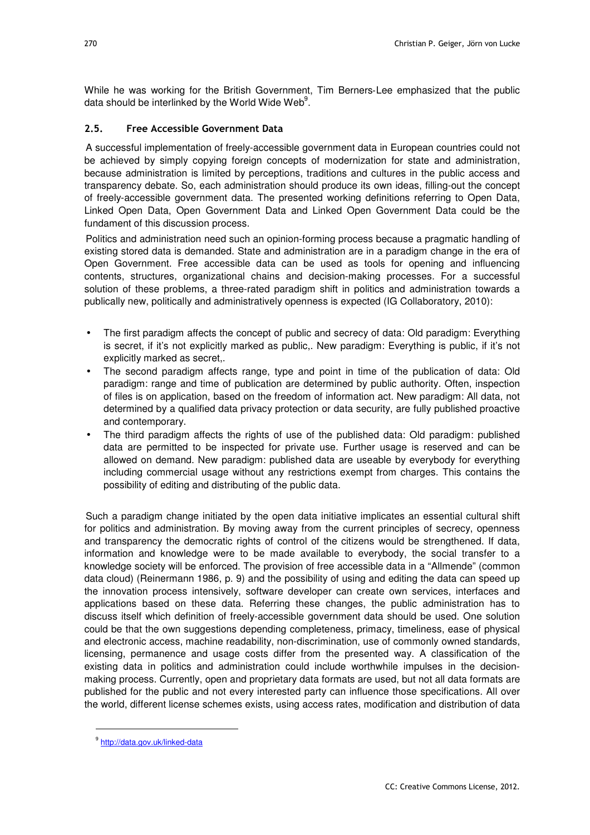While he was working for the British Government, Tim Berners‐Lee emphasized that the public data should be interlinked by the World Wide Web $^9$ .

#### **2.5. Free Accessible Government Data**

A successful implementation of freely-accessible government data in European countries could not be achieved by simply copying foreign concepts of modernization for state and administration, because administration is limited by perceptions, traditions and cultures in the public access and transparency debate. So, each administration should produce its own ideas, filling-out the concept of freely-accessible government data. The presented working definitions referring to Open Data, Linked Open Data, Open Government Data and Linked Open Government Data could be the fundament of this discussion process.

Politics and administration need such an opinion-forming process because a pragmatic handling of existing stored data is demanded. State and administration are in a paradigm change in the era of Open Government. Free accessible data can be used as tools for opening and influencing contents, structures, organizational chains and decision-making processes. For a successful solution of these problems, a three-rated paradigm shift in politics and administration towards a publically new, politically and administratively openness is expected (IG Collaboratory, 2010):

- The first paradigm affects the concept of public and secrecy of data: Old paradigm: Everything is secret, if it's not explicitly marked as public,. New paradigm: Everything is public, if it's not explicitly marked as secret,.
- The second paradigm affects range, type and point in time of the publication of data: Old paradigm: range and time of publication are determined by public authority. Often, inspection of files is on application, based on the freedom of information act. New paradigm: All data, not determined by a qualified data privacy protection or data security, are fully published proactive and contemporary.
- The third paradigm affects the rights of use of the published data: Old paradigm: published data are permitted to be inspected for private use. Further usage is reserved and can be allowed on demand. New paradigm: published data are useable by everybody for everything including commercial usage without any restrictions exempt from charges. This contains the possibility of editing and distributing of the public data.

Such a paradigm change initiated by the open data initiative implicates an essential cultural shift for politics and administration. By moving away from the current principles of secrecy, openness and transparency the democratic rights of control of the citizens would be strengthened. If data, information and knowledge were to be made available to everybody, the social transfer to a knowledge society will be enforced. The provision of free accessible data in a "Allmende" (common data cloud) (Reinermann 1986, p. 9) and the possibility of using and editing the data can speed up the innovation process intensively, software developer can create own services, interfaces and applications based on these data. Referring these changes, the public administration has to discuss itself which definition of freely-accessible government data should be used. One solution could be that the own suggestions depending completeness, primacy, timeliness, ease of physical and electronic access, machine readability, non-discrimination, use of commonly owned standards, licensing, permanence and usage costs differ from the presented way. A classification of the existing data in politics and administration could include worthwhile impulses in the decisionmaking process. Currently, open and proprietary data formats are used, but not all data formats are published for the public and not every interested party can influence those specifications. All over the world, different license schemes exists, using access rates, modification and distribution of data

l

<sup>&</sup>lt;sup>9</sup> http://data.gov.uk/linked-data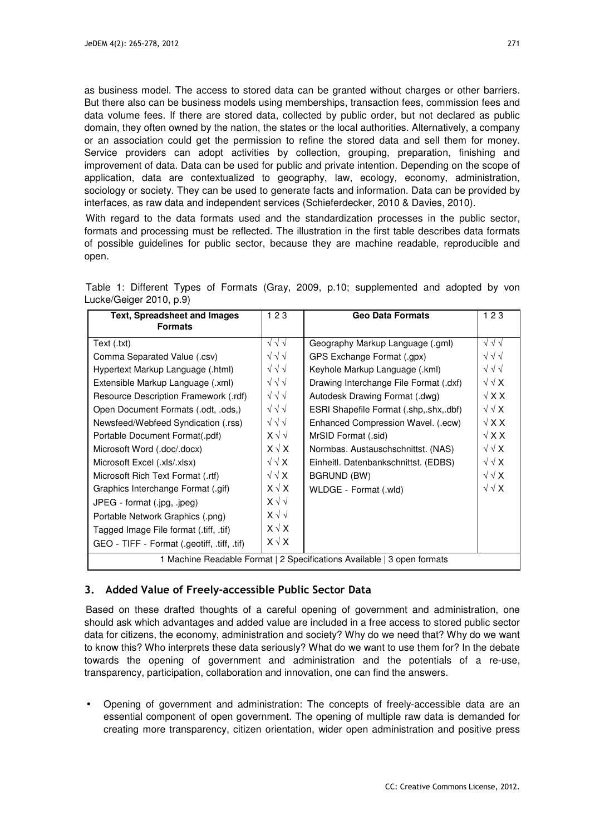as business model. The access to stored data can be granted without charges or other barriers. But there also can be business models using memberships, transaction fees, commission fees and data volume fees. If there are stored data, collected by public order, but not declared as public domain, they often owned by the nation, the states or the local authorities. Alternatively, a company or an association could get the permission to refine the stored data and sell them for money. Service providers can adopt activities by collection, grouping, preparation, finishing and improvement of data. Data can be used for public and private intention. Depending on the scope of application, data are contextualized to geography, law, ecology, economy, administration, sociology or society. They can be used to generate facts and information. Data can be provided by interfaces, as raw data and independent services (Schieferdecker, 2010 & Davies, 2010).

With regard to the data formats used and the standardization processes in the public sector, formats and processing must be reflected. The illustration in the first table describes data formats of possible guidelines for public sector, because they are machine readable, reproducible and open.

|                         |  |  |  | Table 1: Different Types of Formats (Gray, 2009, p.10; supplemented and adopted by von |  |  |
|-------------------------|--|--|--|----------------------------------------------------------------------------------------|--|--|
| Lucke/Geiger 2010, p.9) |  |  |  |                                                                                        |  |  |

| <b>Text, Spreadsheet and Images</b>                                     | 123               | <b>Geo Data Formats</b>                | 123               |  |  |
|-------------------------------------------------------------------------|-------------------|----------------------------------------|-------------------|--|--|
| <b>Formats</b>                                                          |                   |                                        |                   |  |  |
| Text (.txt)                                                             | $\sqrt{\sqrt{}}$  | Geography Markup Language (.gml)       | $\sqrt{\sqrt{}}$  |  |  |
| Comma Separated Value (.csv)                                            | $\sqrt{\sqrt{}}$  | GPS Exchange Format (.gpx)             | $\sqrt{\sqrt{}}$  |  |  |
| Hypertext Markup Language (.html)                                       | $\sqrt{\sqrt{}}$  | Keyhole Markup Language (.kml)         | $\sqrt{\sqrt{}}$  |  |  |
| Extensible Markup Language (.xml)                                       | $\sqrt{\sqrt{}}$  | Drawing Interchange File Format (.dxf) | $\sqrt{\sqrt{X}}$ |  |  |
| Resource Description Framework (.rdf)                                   | $\sqrt{\sqrt{}}$  | Autodesk Drawing Format (.dwg)         | $\sqrt{X}$        |  |  |
| Open Document Formats (.odt, .ods,)                                     | $\sqrt{\sqrt{}}$  | ESRI Shapefile Format (.shp,.shx,.dbf) | $\sqrt{\sqrt{X}}$ |  |  |
| Newsfeed/Webfeed Syndication (.rss)                                     | $\sqrt{\sqrt{}}$  | Enhanced Compression Wavel. (.ecw)     | $\sqrt{X}$        |  |  |
| Portable Document Format(.pdf)                                          | $X \vee \vee$     | MrSID Format (.sid)                    | $\sqrt{X}$        |  |  |
| Microsoft Word (.doc/.docx)                                             | $X \vee X$        | Normbas. Austauschschnittst. (NAS)     | $\sqrt{\sqrt{X}}$ |  |  |
| Microsoft Excel (.xls/.xlsx)                                            | $\sqrt{\sqrt{X}}$ | Einheitl. Datenbankschnittst. (EDBS)   | $\sqrt{\sqrt{X}}$ |  |  |
| Microsoft Rich Text Format (.rtf)                                       | $\sqrt{\sqrt{X}}$ | BGRUND (BW)                            | $\sqrt{\sqrt{X}}$ |  |  |
| Graphics Interchange Format (.gif)                                      | $X \vee X$        | WLDGE - Format (.wld)                  | $\sqrt{\sqrt{X}}$ |  |  |
| JPEG - format (.jpg, .jpeg)                                             | $X \vee \vee$     |                                        |                   |  |  |
| Portable Network Graphics (.png)                                        | $X \vee \vee$     |                                        |                   |  |  |
| Tagged Image File format (.tiff, .tif)                                  | $X \vee X$        |                                        |                   |  |  |
| GEO - TIFF - Format (.geotiff, .tiff, .tif)                             | $X \vee X$        |                                        |                   |  |  |
| 1 Machine Readable Format   2 Specifications Available   3 open formats |                   |                                        |                   |  |  |

## **3. Added Value of Freely-accessible Public Sector Data**

Based on these drafted thoughts of a careful opening of government and administration, one should ask which advantages and added value are included in a free access to stored public sector data for citizens, the economy, administration and society? Why do we need that? Why do we want to know this? Who interprets these data seriously? What do we want to use them for? In the debate towards the opening of government and administration and the potentials of a re-use, transparency, participation, collaboration and innovation, one can find the answers.

• Opening of government and administration: The concepts of freely-accessible data are an essential component of open government. The opening of multiple raw data is demanded for creating more transparency, citizen orientation, wider open administration and positive press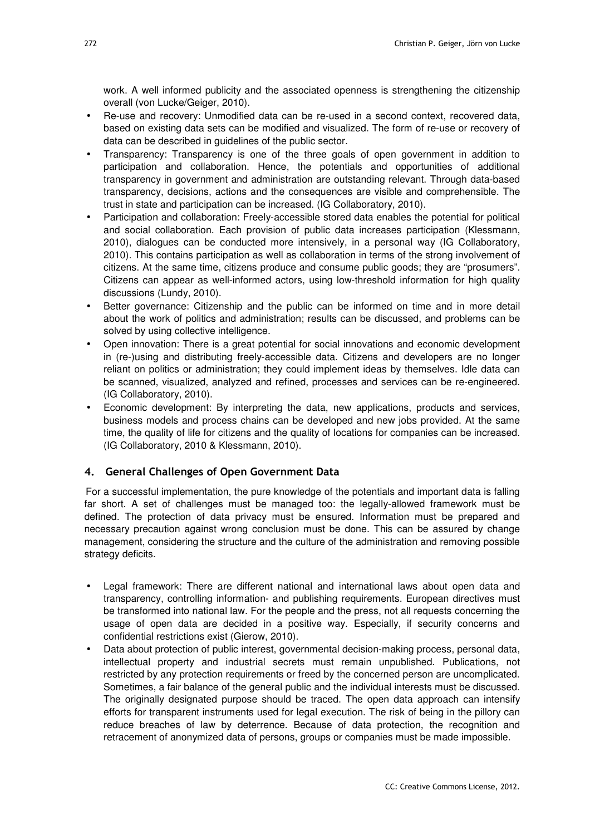work. A well informed publicity and the associated openness is strengthening the citizenship overall (von Lucke/Geiger, 2010).

- Re-use and recovery: Unmodified data can be re-used in a second context, recovered data, based on existing data sets can be modified and visualized. The form of re-use or recovery of data can be described in guidelines of the public sector.
- Transparency: Transparency is one of the three goals of open government in addition to participation and collaboration. Hence, the potentials and opportunities of additional transparency in government and administration are outstanding relevant. Through data-based transparency, decisions, actions and the consequences are visible and comprehensible. The trust in state and participation can be increased. (IG Collaboratory, 2010).
- Participation and collaboration: Freely-accessible stored data enables the potential for political and social collaboration. Each provision of public data increases participation (Klessmann, 2010), dialogues can be conducted more intensively, in a personal way (IG Collaboratory, 2010). This contains participation as well as collaboration in terms of the strong involvement of citizens. At the same time, citizens produce and consume public goods; they are "prosumers". Citizens can appear as well-informed actors, using low-threshold information for high quality discussions (Lundy, 2010).
- Better governance: Citizenship and the public can be informed on time and in more detail about the work of politics and administration; results can be discussed, and problems can be solved by using collective intelligence.
- Open innovation: There is a great potential for social innovations and economic development in (re-)using and distributing freely-accessible data. Citizens and developers are no longer reliant on politics or administration; they could implement ideas by themselves. Idle data can be scanned, visualized, analyzed and refined, processes and services can be re-engineered. (IG Collaboratory, 2010).
- Economic development: By interpreting the data, new applications, products and services, business models and process chains can be developed and new jobs provided. At the same time, the quality of life for citizens and the quality of locations for companies can be increased. (IG Collaboratory, 2010 & Klessmann, 2010).

## **4. General Challenges of Open Government Data**

For a successful implementation, the pure knowledge of the potentials and important data is falling far short. A set of challenges must be managed too: the legally-allowed framework must be defined. The protection of data privacy must be ensured. Information must be prepared and necessary precaution against wrong conclusion must be done. This can be assured by change management, considering the structure and the culture of the administration and removing possible strategy deficits.

- Legal framework: There are different national and international laws about open data and transparency, controlling information- and publishing requirements. European directives must be transformed into national law. For the people and the press, not all requests concerning the usage of open data are decided in a positive way. Especially, if security concerns and confidential restrictions exist (Gierow, 2010).
- Data about protection of public interest, governmental decision-making process, personal data, intellectual property and industrial secrets must remain unpublished. Publications, not restricted by any protection requirements or freed by the concerned person are uncomplicated. Sometimes, a fair balance of the general public and the individual interests must be discussed. The originally designated purpose should be traced. The open data approach can intensify efforts for transparent instruments used for legal execution. The risk of being in the pillory can reduce breaches of law by deterrence. Because of data protection, the recognition and retracement of anonymized data of persons, groups or companies must be made impossible.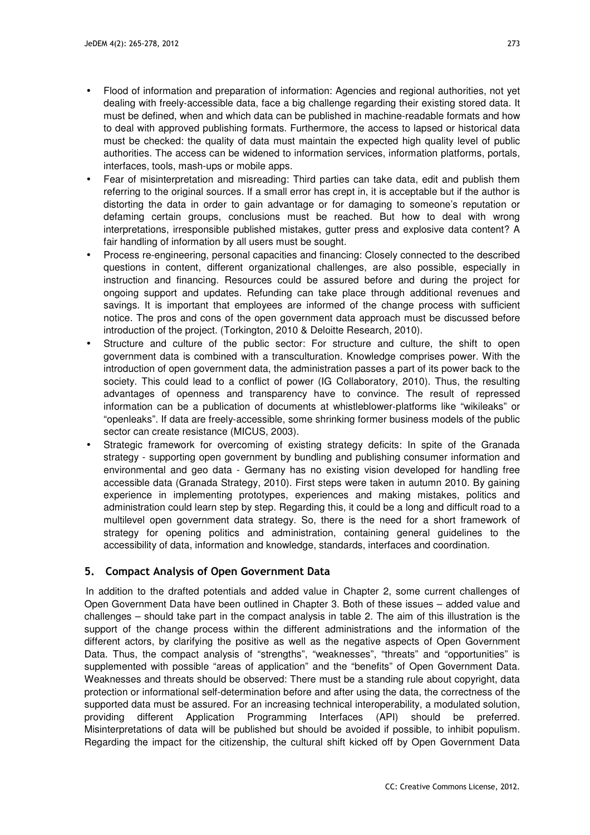- Flood of information and preparation of information: Agencies and regional authorities, not yet dealing with freely-accessible data, face a big challenge regarding their existing stored data. It must be defined, when and which data can be published in machine-readable formats and how to deal with approved publishing formats. Furthermore, the access to lapsed or historical data must be checked: the quality of data must maintain the expected high quality level of public authorities. The access can be widened to information services, information platforms, portals, interfaces, tools, mash-ups or mobile apps.
- Fear of misinterpretation and misreading: Third parties can take data, edit and publish them referring to the original sources. If a small error has crept in, it is acceptable but if the author is distorting the data in order to gain advantage or for damaging to someone's reputation or defaming certain groups, conclusions must be reached. But how to deal with wrong interpretations, irresponsible published mistakes, gutter press and explosive data content? A fair handling of information by all users must be sought.
- Process re-engineering, personal capacities and financing: Closely connected to the described questions in content, different organizational challenges, are also possible, especially in instruction and financing. Resources could be assured before and during the project for ongoing support and updates. Refunding can take place through additional revenues and savings. It is important that employees are informed of the change process with sufficient notice. The pros and cons of the open government data approach must be discussed before introduction of the project. (Torkington, 2010 & Deloitte Research, 2010).
- Structure and culture of the public sector: For structure and culture, the shift to open government data is combined with a transculturation. Knowledge comprises power. With the introduction of open government data, the administration passes a part of its power back to the society. This could lead to a conflict of power (IG Collaboratory, 2010). Thus, the resulting advantages of openness and transparency have to convince. The result of repressed information can be a publication of documents at whistleblower‐platforms like "wikileaks" or "openleaks". If data are freely-accessible, some shrinking former business models of the public sector can create resistance (MICUS, 2003).
- Strategic framework for overcoming of existing strategy deficits: In spite of the Granada strategy - supporting open government by bundling and publishing consumer information and environmental and geo data - Germany has no existing vision developed for handling free accessible data (Granada Strategy, 2010). First steps were taken in autumn 2010. By gaining experience in implementing prototypes, experiences and making mistakes, politics and administration could learn step by step. Regarding this, it could be a long and difficult road to a multilevel open government data strategy. So, there is the need for a short framework of strategy for opening politics and administration, containing general guidelines to the accessibility of data, information and knowledge, standards, interfaces and coordination.

#### **5. Compact Analysis of Open Government Data**

In addition to the drafted potentials and added value in Chapter 2, some current challenges of Open Government Data have been outlined in Chapter 3. Both of these issues – added value and challenges – should take part in the compact analysis in table 2. The aim of this illustration is the support of the change process within the different administrations and the information of the different actors, by clarifying the positive as well as the negative aspects of Open Government Data. Thus, the compact analysis of "strengths", "weaknesses", "threats" and "opportunities" is supplemented with possible "areas of application" and the "benefits" of Open Government Data. Weaknesses and threats should be observed: There must be a standing rule about copyright, data protection or informational self-determination before and after using the data, the correctness of the supported data must be assured. For an increasing technical interoperability, a modulated solution, providing different Application Programming Interfaces (API) should be preferred. Misinterpretations of data will be published but should be avoided if possible, to inhibit populism. Regarding the impact for the citizenship, the cultural shift kicked off by Open Government Data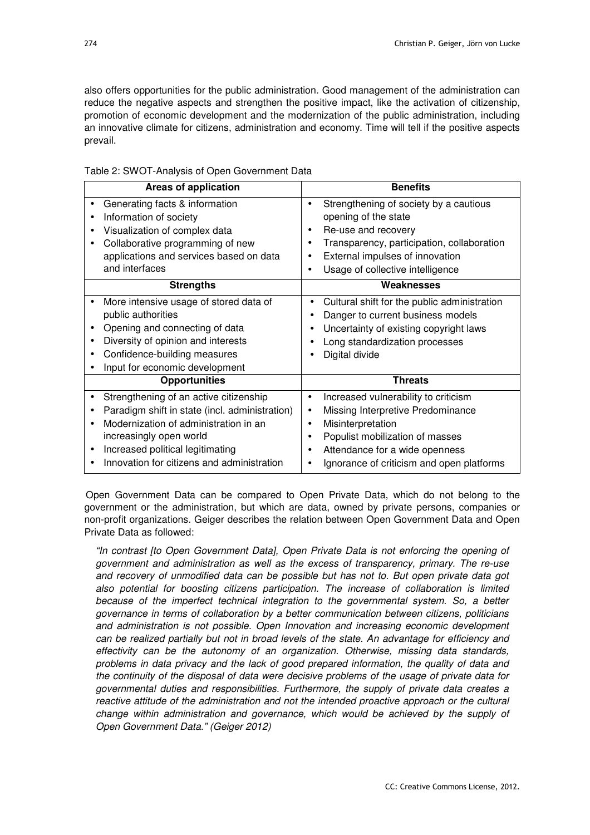also offers opportunities for the public administration. Good management of the administration can reduce the negative aspects and strengthen the positive impact, like the activation of citizenship, promotion of economic development and the modernization of the public administration, including an innovative climate for citizens, administration and economy. Time will tell if the positive aspects prevail.

| <b>Areas of application</b>                                                                                                                                                                                                                    | <b>Benefits</b>                                                                                                                                                                                                                                                                                |
|------------------------------------------------------------------------------------------------------------------------------------------------------------------------------------------------------------------------------------------------|------------------------------------------------------------------------------------------------------------------------------------------------------------------------------------------------------------------------------------------------------------------------------------------------|
| Generating facts & information<br>$\bullet$<br>Information of society<br>Visualization of complex data<br>Collaborative programming of new<br>applications and services based on data                                                          | Strengthening of society by a cautious<br>$\bullet$<br>opening of the state<br>Re-use and recovery<br>$\bullet$<br>Transparency, participation, collaboration<br>$\bullet$<br>External impulses of innovation                                                                                  |
| and interfaces                                                                                                                                                                                                                                 | Usage of collective intelligence<br>٠                                                                                                                                                                                                                                                          |
| <b>Strengths</b>                                                                                                                                                                                                                               | Weaknesses                                                                                                                                                                                                                                                                                     |
| More intensive usage of stored data of<br>public authorities<br>Opening and connecting of data<br>Diversity of opinion and interests<br>Confidence-building measures<br>Input for economic development                                         | Cultural shift for the public administration<br>Danger to current business models<br>Uncertainty of existing copyright laws<br>Long standardization processes<br>Digital divide                                                                                                                |
| <b>Opportunities</b>                                                                                                                                                                                                                           | <b>Threats</b>                                                                                                                                                                                                                                                                                 |
| Strengthening of an active citizenship<br>Paradigm shift in state (incl. administration)<br>Modernization of administration in an<br>increasingly open world<br>Increased political legitimating<br>Innovation for citizens and administration | Increased vulnerability to criticism<br>$\bullet$<br>Missing Interpretive Predominance<br>$\bullet$<br>Misinterpretation<br>$\bullet$<br>Populist mobilization of masses<br>$\bullet$<br>Attendance for a wide openness<br>$\bullet$<br>Ignorance of criticism and open platforms<br>$\bullet$ |

Open Government Data can be compared to Open Private Data, which do not belong to the government or the administration, but which are data, owned by private persons, companies or non-profit organizations. Geiger describes the relation between Open Government Data and Open Private Data as followed:

"In contrast [to Open Government Data], Open Private Data is not enforcing the opening of government and administration as well as the excess of transparency, primary. The re-use and recovery of unmodified data can be possible but has not to. But open private data got also potential for boosting citizens participation. The increase of collaboration is limited because of the imperfect technical integration to the governmental system. So, a better governance in terms of collaboration by a better communication between citizens, politicians and administration is not possible. Open Innovation and increasing economic development can be realized partially but not in broad levels of the state. An advantage for efficiency and effectivity can be the autonomy of an organization. Otherwise, missing data standards, problems in data privacy and the lack of good prepared information, the quality of data and the continuity of the disposal of data were decisive problems of the usage of private data for governmental duties and responsibilities. Furthermore, the supply of private data creates a reactive attitude of the administration and not the intended proactive approach or the cultural change within administration and governance, which would be achieved by the supply of Open Government Data." (Geiger 2012)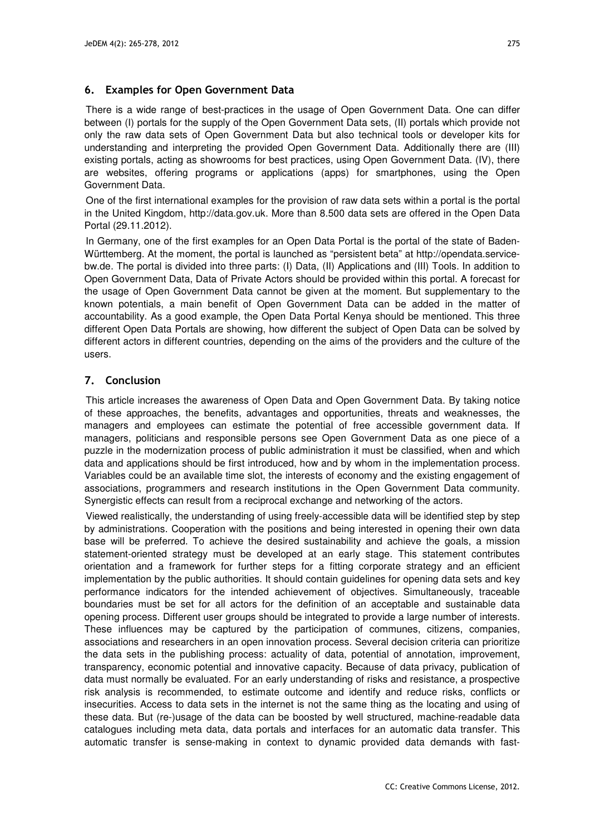#### **6. Examples for Open Government Data**

There is a wide range of best-practices in the usage of Open Government Data. One can differ between (I) portals for the supply of the Open Government Data sets, (II) portals which provide not only the raw data sets of Open Government Data but also technical tools or developer kits for understanding and interpreting the provided Open Government Data. Additionally there are (III) existing portals, acting as showrooms for best practices, using Open Government Data. (IV), there are websites, offering programs or applications (apps) for smartphones, using the Open Government Data.

One of the first international examples for the provision of raw data sets within a portal is the portal in the United Kingdom, http://data.gov.uk. More than 8.500 data sets are offered in the Open Data Portal (29.11.2012).

In Germany, one of the first examples for an Open Data Portal is the portal of the state of Baden-Württemberg. At the moment, the portal is launched as "persistent beta" at http://opendata.servicebw.de. The portal is divided into three parts: (I) Data, (II) Applications and (III) Tools. In addition to Open Government Data, Data of Private Actors should be provided within this portal. A forecast for the usage of Open Government Data cannot be given at the moment. But supplementary to the known potentials, a main benefit of Open Government Data can be added in the matter of accountability. As a good example, the Open Data Portal Kenya should be mentioned. This three different Open Data Portals are showing, how different the subject of Open Data can be solved by different actors in different countries, depending on the aims of the providers and the culture of the users.

## **7. Conclusion**

This article increases the awareness of Open Data and Open Government Data. By taking notice of these approaches, the benefits, advantages and opportunities, threats and weaknesses, the managers and employees can estimate the potential of free accessible government data. If managers, politicians and responsible persons see Open Government Data as one piece of a puzzle in the modernization process of public administration it must be classified, when and which data and applications should be first introduced, how and by whom in the implementation process. Variables could be an available time slot, the interests of economy and the existing engagement of associations, programmers and research institutions in the Open Government Data community. Synergistic effects can result from a reciprocal exchange and networking of the actors.

Viewed realistically, the understanding of using freely-accessible data will be identified step by step by administrations. Cooperation with the positions and being interested in opening their own data base will be preferred. To achieve the desired sustainability and achieve the goals, a mission statement-oriented strategy must be developed at an early stage. This statement contributes orientation and a framework for further steps for a fitting corporate strategy and an efficient implementation by the public authorities. It should contain guidelines for opening data sets and key performance indicators for the intended achievement of objectives. Simultaneously, traceable boundaries must be set for all actors for the definition of an acceptable and sustainable data opening process. Different user groups should be integrated to provide a large number of interests. These influences may be captured by the participation of communes, citizens, companies, associations and researchers in an open innovation process. Several decision criteria can prioritize the data sets in the publishing process: actuality of data, potential of annotation, improvement, transparency, economic potential and innovative capacity. Because of data privacy, publication of data must normally be evaluated. For an early understanding of risks and resistance, a prospective risk analysis is recommended, to estimate outcome and identify and reduce risks, conflicts or insecurities. Access to data sets in the internet is not the same thing as the locating and using of these data. But (re-)usage of the data can be boosted by well structured, machine-readable data catalogues including meta data, data portals and interfaces for an automatic data transfer. This automatic transfer is sense-making in context to dynamic provided data demands with fast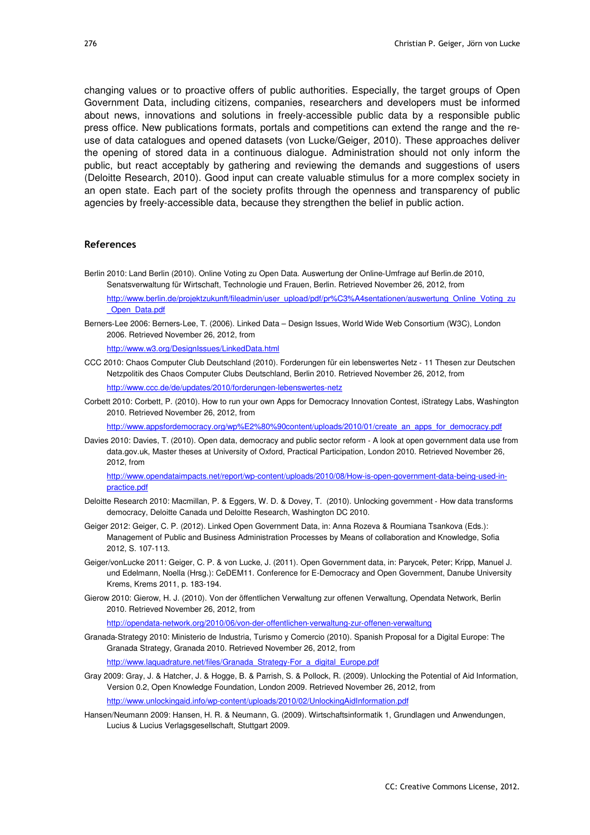changing values or to proactive offers of public authorities. Especially, the target groups of Open Government Data, including citizens, companies, researchers and developers must be informed about news, innovations and solutions in freely-accessible public data by a responsible public press office. New publications formats, portals and competitions can extend the range and the reuse of data catalogues and opened datasets (von Lucke/Geiger, 2010). These approaches deliver the opening of stored data in a continuous dialogue. Administration should not only inform the public, but react acceptably by gathering and reviewing the demands and suggestions of users (Deloitte Research, 2010). Good input can create valuable stimulus for a more complex society in an open state. Each part of the society profits through the openness and transparency of public agencies by freely-accessible data, because they strengthen the belief in public action.

#### **References**

Berlin 2010: Land Berlin (2010). Online Voting zu Open Data. Auswertung der Online‐Umfrage auf Berlin.de 2010, Senatsverwaltung für Wirtschaft, Technologie und Frauen, Berlin. Retrieved November 26, 2012, from

http://www.berlin.de/projektzukunft/fileadmin/user\_upload/pdf/pr%C3%A4sentationen/auswertung\_Online\_Voting\_zu \_Open\_Data.pdf

Berners‐Lee 2006: Berners‐Lee, T. (2006). Linked Data – Design Issues, World Wide Web Consortium (W3C), London 2006. Retrieved November 26, 2012, from

http://www.w3.org/DesignIssues/LinkedData.html

- CCC 2010: Chaos Computer Club Deutschland (2010). Forderungen für ein lebenswertes Netz ‐ 11 Thesen zur Deutschen Netzpolitik des Chaos Computer Clubs Deutschland, Berlin 2010. Retrieved November 26, 2012, from http://www.ccc.de/de/updates/2010/forderungen-lebenswertes-netz
- Corbett 2010: Corbett, P. (2010). How to run your own Apps for Democracy Innovation Contest, iStrategy Labs, Washington 2010. Retrieved November 26, 2012, from

http://www.appsfordemocracy.org/wp%E2%80%90content/uploads/2010/01/create\_an\_apps\_for\_democracy.pdf

Davies 2010: Davies, T. (2010). Open data, democracy and public sector reform ‐ A look at open government data use from data.gov.uk, Master theses at University of Oxford, Practical Participation, London 2010. Retrieved November 26, 2012, from

http://www.opendataimpacts.net/report/wp-content/uploads/2010/08/How-is-open-government-data-being-used-inpractice.pdf

- Deloitte Research 2010: Macmillan, P. & Eggers, W. D. & Dovey, T. (2010). Unlocking government ‐ How data transforms democracy, Deloitte Canada und Deloitte Research, Washington DC 2010.
- Geiger 2012: Geiger, C. P. (2012). Linked Open Government Data, in: Anna Rozeva & Roumiana Tsankova (Eds.): Management of Public and Business Administration Processes by Means of collaboration and Knowledge, Sofia 2012, S. 107-113.
- Geiger/vonLucke 2011: Geiger, C. P. & von Lucke, J. (2011). Open Government data, in: Parycek, Peter; Kripp, Manuel J. und Edelmann, Noella (Hrsg.): CeDEM11. Conference for E-Democracy and Open Government, Danube University Krems, Krems 2011, p. 183-194.
- Gierow 2010: Gierow, H. J. (2010). Von der öffentlichen Verwaltung zur offenen Verwaltung, Opendata Network, Berlin 2010. Retrieved November 26, 2012, from

http://opendata‐network.org/2010/06/von‐der‐offentlichen‐verwaltung‐zur‐offenen‐verwaltung

- Granada‐Strategy 2010: Ministerio de Industria, Turismo y Comercio (2010). Spanish Proposal for a Digital Europe: The Granada Strategy, Granada 2010. Retrieved November 26, 2012, from http://www.laquadrature.net/files/Granada\_Strategy-For\_a\_digital\_Europe.pdf
- Gray 2009: Gray, J. & Hatcher, J. & Hogge, B. & Parrish, S. & Pollock, R. (2009). Unlocking the Potential of Aid Information, Version 0.2, Open Knowledge Foundation, London 2009. Retrieved November 26, 2012, from http://www.unlockingaid.info/wp-content/uploads/2010/02/UnlockingAidInformation.pdf
- Hansen/Neumann 2009: Hansen, H. R. & Neumann, G. (2009). Wirtschaftsinformatik 1, Grundlagen und Anwendungen, Lucius & Lucius Verlagsgesellschaft, Stuttgart 2009.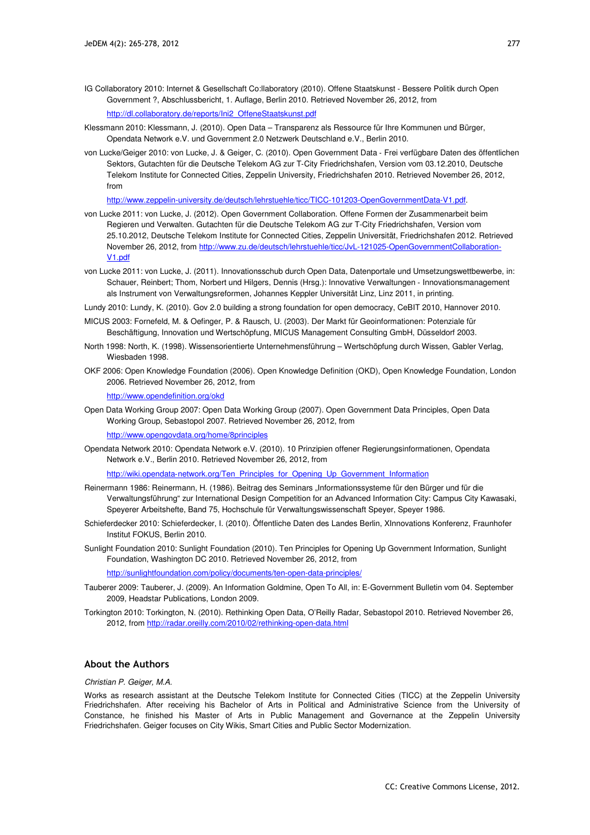- IG Collaboratory 2010: Internet & Gesellschaft Co:llaboratory (2010). Offene Staatskunst ‐ Bessere Politik durch Open Government ?, Abschlussbericht, 1. Auflage, Berlin 2010. Retrieved November 26, 2012, from http://dl.collaboratory.de/reports/Ini2\_OffeneStaatskunst.pdf
- Klessmann 2010: Klessmann, J. (2010). Open Data Transparenz als Ressource für Ihre Kommunen und Bürger, Opendata Network e.V. und Government 2.0 Netzwerk Deutschland e.V., Berlin 2010.
- von Lucke/Geiger 2010: von Lucke, J. & Geiger, C. (2010). Open Government Data ‐ Frei verfügbare Daten des öffentlichen Sektors, Gutachten für die Deutsche Telekom AG zur T‐City Friedrichshafen, Version vom 03.12.2010, Deutsche Telekom Institute for Connected Cities, Zeppelin University, Friedrichshafen 2010. Retrieved November 26, 2012, from

http://www.zeppelin-university.de/deutsch/lehrstuehle/ticc/TICC-101203-OpenGovernmentData-V1.pdf.

- von Lucke 2011: von Lucke, J. (2012). Open Government Collaboration. Offene Formen der Zusammenarbeit beim Regieren und Verwalten. Gutachten für die Deutsche Telekom AG zur T-City Friedrichshafen, Version vom 25.10.2012, Deutsche Telekom Institute for Connected Cities, Zeppelin Universität, Friedrichshafen 2012. Retrieved November 26, 2012, from http://www.zu.de/deutsch/lehrstuehle/ticc/JvL-121025-OpenGovernmentCollaboration-V1.pdf
- von Lucke 2011: von Lucke, J. (2011). Innovationsschub durch Open Data, Datenportale und Umsetzungswettbewerbe, in: Schauer, Reinbert; Thom, Norbert und Hilgers, Dennis (Hrsg.): Innovative Verwaltungen ‐ Innovationsmanagement als Instrument von Verwaltungsreformen, Johannes Keppler Universität Linz, Linz 2011, in printing.
- Lundy 2010: Lundy, K. (2010). Gov 2.0 building a strong foundation for open democracy, CeBIT 2010, Hannover 2010.
- MICUS 2003: Fornefeld, M. & Oefinger, P. & Rausch, U. (2003). Der Markt für Geoinformationen: Potenziale für Beschäftigung, Innovation und Wertschöpfung, MICUS Management Consulting GmbH, Düsseldorf 2003.
- North 1998: North, K. (1998). Wissensorientierte Unternehmensführung Wertschöpfung durch Wissen, Gabler Verlag, Wiesbaden 1998.
- OKF 2006: Open Knowledge Foundation (2006). Open Knowledge Definition (OKD), Open Knowledge Foundation, London 2006. Retrieved November 26, 2012, from

http://www.opendefinition.org/okd

Open Data Working Group 2007: Open Data Working Group (2007). Open Government Data Principles, Open Data Working Group, Sebastopol 2007. Retrieved November 26, 2012, from

http://www.opengovdata.org/home/8principles

Opendata Network 2010: Opendata Network e.V. (2010). 10 Prinzipien offener Regierungsinformationen, Opendata Network e.V., Berlin 2010. Retrieved November 26, 2012, from

http://wiki.opendata-network.org/Ten\_Principles\_for\_Opening\_Up\_Government\_Information

- Reinermann 1986: Reinermann, H. (1986). Beitrag des Seminars "Informationssysteme für den Bürger und für die Verwaltungsführung" zur International Design Competition for an Advanced Information City: Campus City Kawasaki, Speyerer Arbeitshefte, Band 75, Hochschule für Verwaltungswissenschaft Speyer, Speyer 1986.
- Schieferdecker 2010: Schieferdecker, I. (2010). Öffentliche Daten des Landes Berlin, XInnovations Konferenz, Fraunhofer Institut FOKUS, Berlin 2010.
- Sunlight Foundation 2010: Sunlight Foundation (2010). Ten Principles for Opening Up Government Information, Sunlight Foundation, Washington DC 2010. Retrieved November 26, 2012, from

http://sunlightfoundation.com/policy/documents/ten-open-data-principles/

- Tauberer 2009: Tauberer, J. (2009). An Information Goldmine, Open To All, in: E‐Government Bulletin vom 04. September 2009, Headstar Publications, London 2009.
- Torkington 2010: Torkington, N. (2010). Rethinking Open Data, O'Reilly Radar, Sebastopol 2010. Retrieved November 26, 2012, from http://radar.oreilly.com/2010/02/rethinking-open-data.html

#### **About the Authors**

#### Christian P. Geiger, M.A.

Works as research assistant at the Deutsche Telekom Institute for Connected Cities (TICC) at the Zeppelin University Friedrichshafen. After receiving his Bachelor of Arts in Political and Administrative Science from the University of Constance, he finished his Master of Arts in Public Management and Governance at the Zeppelin University Friedrichshafen. Geiger focuses on City Wikis, Smart Cities and Public Sector Modernization.